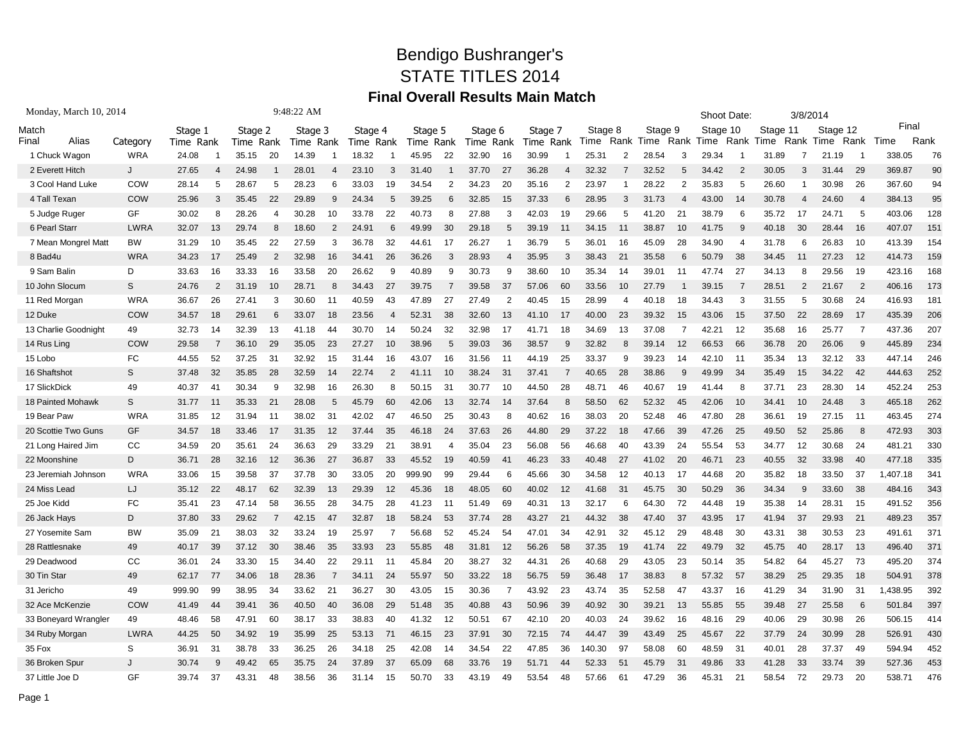## Bendigo Bushranger's STATE TITLES 2014 **Final Overall Results Main Match**

| Monday, March 10, 2014 |               |           |                |                      |                | 9:48:22 AM |     |           |    |           |                |           |                |           |    |         |                |           |                | Shoot Date: |                |          | 3/8/2014       |          |                |          |      |
|------------------------|---------------|-----------|----------------|----------------------|----------------|------------|-----|-----------|----|-----------|----------------|-----------|----------------|-----------|----|---------|----------------|-----------|----------------|-------------|----------------|----------|----------------|----------|----------------|----------|------|
| Match                  |               |           | Stage 1        |                      |                | Stage 3    |     | Stage 4   |    | Stage 5   |                | Stage 6   |                | Stage 7   |    | Stage 8 |                | Stage 9   |                | Stage 10    |                | Stage 11 |                | Stage 12 |                | Final    |      |
| Alias<br>Final         | Category      | Time Rank |                | Stage 2<br>Time Rank |                | Time Rank  |     | Time Rank |    | Time Rank |                | Time Rank |                | Time Rank |    | Time    |                | Rank Time |                | Rank Time   | Rank           | Time     | Rank           | Time     | Rank           | Time     | Rank |
| 1 Chuck Wagon          | <b>WRA</b>    | 24.08     |                | 35.15                | 20             | 14.39      |     | 18.32     | -1 | 45.95     | 22             | 32.90     | 16             | 30.99     |    | 25.31   | 2              | 28.54     | 3              | 29.34       |                | 31.89    | 7              | 21.19    | -1             | 338.05   | 76   |
| 2 Everett Hitch        | J             | 27.65     | 4              | 24.98                |                | 28.01      | 4   | 23.10     | 3  | 31.40     |                | 37.70     | 27             | 36.28     | 4  | 32.32   | 7              | 32.52     | 5              | 34.42       | $\overline{2}$ | 30.05    | 3              | 31.44    | 29             | 369.87   | 90   |
| 3 Cool Hand Luke       | COW           | 28.14     | 5              | 28.67                | 5              | 28.23      | 6   | 33.03     | 19 | 34.54     | 2              | 34.23     | 20             | 35.16     | 2  | 23.97   |                | 28.22     | $\overline{2}$ | 35.83       | -5             | 26.60    |                | 30.98    | 26             | 367.60   | 94   |
| 4 Tall Texan           | COW           | 25.96     | 3              | 35.45                | 22             | 29.89      | 9   | 24.34     | 5  | 39.25     | 6              | 32.85     | 15             | 37.33     | 6  | 28.95   | 3              | 31.73     |                | 43.00       | 14             | 30.78    | $\overline{4}$ | 24.60    | $\overline{4}$ | 384.13   | 95   |
| 5 Judge Ruger          | GF            | 30.02     | 8              | 28.26                | 4              | 30.28      | 10  | 33.78     | 22 | 40.73     | 8              | 27.88     | 3              | 42.03     | 19 | 29.66   | 5              | 41.20     | 21             | 38.79       | -6             | 35.72    | 17             | 24.71    | 5              | 403.06   | 128  |
| 6 Pearl Starr          | <b>LWRA</b>   | 32.07     | 13             | 29.74                | 8              | 18.60      | 2   | 24.91     | 6  | 49.99     | 30             | 29.18     | 5              | 39.19     |    | 34.15   | 11             | 38.87     | 10             | 41.75       | -9             | 40.18    | 30             | 28.44    | 16             | 407.07   | 151  |
| 7 Mean Mongrel Matt    | <b>BW</b>     | 31.29     | 10             | 35.45                | 22             | 27.59      | 3   | 36.78     | 32 | 44.61     | 17             | 26.27     |                | 36.79     | 5  | 36.01   | 16             | 45.09     | 28             | 34.90       | -4             | 31.78    | 6              | 26.83    | 10             | 413.39   | 154  |
| 8 Bad4u                | <b>WRA</b>    | 34.23     | 17             | 25.49                | $\overline{2}$ | 32.98      | 16  | 34.41     | 26 | 36.26     | 3              | 28.93     | 4              | 35.95     | 3  | 38.43   | 21             | 35.58     | 6              | 50.79       | 38             | 34.45    | -11            | 27.23    | 12             | 414.73   | 159  |
| 9 Sam Balin            | D             | 33.63     | 16             | 33.33                | 16             | 33.58      | 20  | 26.62     | 9  | 40.89     | 9              | 30.73     | 9              | 38.60     | 10 | 35.34   | 14             | 39.01     | 11             | 47.74       | 27             | 34.13    | 8              | 29.56    | 19             | 423.16   | 168  |
| 10 John Slocum         | S             | 24.76     | $\overline{2}$ | 31.19                | 10             | 28.71      | 8   | 34.43     | 27 | 39.75     |                | 39.58     | 37             | 57.06     | 60 | 33.56   | 10             | 27.79     |                | 39.15       |                | 28.51    | $\overline{2}$ | 21.67    | $\overline{2}$ | 406.16   | 173  |
| 11 Red Morgan          | <b>WRA</b>    | 36.67     | 26             | 27.41                | 3              | 30.60      | -11 | 40.59     | 43 | 47.89     | 27             | 27.49     | $\overline{2}$ | 40.45     | 15 | 28.99   | $\overline{4}$ | 40.18     | 18             | 34.43       | -3             | 31.55    | 5              | 30.68    | 24             | 416.93   | 181  |
| 12 Duke                | COW           | 34.57     | 18             | 29.61                | 6              | 33.07      | 18  | 23.56     | 4  | 52.31     | 38             | 32.60     | 13             | 41.10     | 17 | 40.00   | 23             | 39.32     | 15             | 43.06       | 15             | 37.50    | 22             | 28.69    | 17             | 435.39   | 206  |
| 13 Charlie Goodnight   | 49            | 32.73     | 14             | 32.39                | 13             | 41.18      | 44  | 30.70     | 14 | 50.24     | 32             | 32.98     | 17             | 41.71     | 18 | 34.69   | 13             | 37.08     | 7              | 42.21       | 12             | 35.68    | 16             | 25.77    | $\overline{7}$ | 437.36   | 207  |
| 14 Rus Ling            | COW           | 29.58     | 7              | 36.10                | 29             | 35.05      | 23  | 27.27     | 10 | 38.96     | 5              | 39.03     | 36             | 38.57     | 9  | 32.82   | 8              | 39.14     | 12             | 66.53       | 66             | 36.78    | 20             | 26.06    | 9              | 445.89   | 234  |
| 15 Lobo                | FC            | 44.55     | 52             | 37.25                | 31             | 32.92      | 15  | 31.44     | 16 | 43.07     | 16             | 31.56     | -11            | 44.19     | 25 | 33.37   | 9              | 39.23     | 14             | 42.10       | -11            | 35.34    | 13             | 32.12    | 33             | 447.14   | 246  |
| 16 Shaftshot           | S             | 37.48     | 32             | 35.85                | 28             | 32.59      | 14  | 22.74     | 2  | 41.11     | 10             | 38.24     | 31             | 37.41     | -7 | 40.65   | 28             | 38.86     | 9              | 49.99       | 34             | 35.49    | 15             | 34.22    | 42             | 444.63   | 252  |
| 17 SlickDick           | 49            | 40.37     | 41             | 30.34                | 9              | 32.98      | 16  | 26.30     | 8  | 50.15     | 31             | 30.77     | 10             | 44.50     | 28 | 48.71   | 46             | 40.67     | 19             | 41.44       | 8              | 37.71    | 23             | 28.30    | 14             | 452.24   | 253  |
| 18 Painted Mohawk      | S             | 31.77     | -11            | 35.33                | 21             | 28.08      | 5   | 45.79     | 60 | 42.06     | 13             | 32.74     | 14             | 37.64     | 8  | 58.50   | 62             | 52.32     | 45             | 42.06       | 10             | 34.41    | 10             | 24.48    | 3              | 465.18   | 262  |
| 19 Bear Paw            | <b>WRA</b>    | 31.85     | 12             | 31.94                | -11            | 38.02      | 31  | 42.02     | 47 | 46.50     | 25             | 30.43     | 8              | 40.62     | 16 | 38.03   | 20             | 52.48     | 46             | 47.80       | 28             | 36.61    | 19             | 27.15    | 11             | 463.45   | 274  |
| 20 Scottie Two Guns    | GF            | 34.57     | 18             | 33.46                | 17             | 31.35      | 12  | 37.44     | 35 | 46.18     | 24             | 37.63     | 26             | 44.80     | 29 | 37.22   | 18             | 47.66     | 39             | 47.26       | 25             | 49.50    | 52             | 25.86    | 8              | 472.93   | 303  |
| 21 Long Haired Jim     | <sub>CC</sub> | 34.59     | 20             | 35.61                | 24             | 36.63      | 29  | 33.29     | 21 | 38.91     | $\overline{4}$ | 35.04     | 23             | 56.08     | 56 | 46.68   | 40             | 43.39     | 24             | 55.54       | 53             | 34.77    | 12             | 30.68    | 24             | 481.21   | 330  |
| 22 Moonshine           | D             | 36.71     | 28             | 32.16                | 12             | 36.36      | 27  | 36.87     | 33 | 45.52     | 19             | 40.59     | 41             | 46.23     | 33 | 40.48   | 27             | 41.02     | 20             | 46.71       | 23             | 40.55    | 32             | 33.98    | 40             | 477.18   | 335  |
| 23 Jeremiah Johnson    | <b>WRA</b>    | 33.06     | 15             | 39.58                | 37             | 37.78      | 30  | 33.05     | 20 | 999.90    | 99             | 29.44     | 6              | 45.66     | 30 | 34.58   | 12             | 40.13     | 17             | 44.68       | 20             | 35.82    | 18             | 33.50    | 37             | 1,407.18 | 341  |
| 24 Miss Lead           | LJ            | 35.12     | 22             | 48.17                | 62             | 32.39      | 13  | 29.39     | 12 | 45.36     | 18             | 48.05     | 60             | 40.02     | 12 | 41.68   | 31             | 45.75     | 30             | 50.29       | 36             | 34.34    | 9              | 33.60    | 38             | 484.16   | 343  |
| 25 Joe Kidd            | FC            | 35.41     | 23             | 47.14                | 58             | 36.55      | 28  | 34.75     | 28 | 41.23     | 11             | 51.49     | 69             | 40.31     | 13 | 32.17   | 6              | 64.30     | 72             | 44.48       | 19             | 35.38    | 14             | 28.31    | 15             | 491.52   | 356  |
| 26 Jack Hays           | D             | 37.80     | 33             | 29.62                |                | 42.15      | 47  | 32.87     | 18 | 58.24     | 53             | 37.74     | 28             | 43.27     | 21 | 44.32   | 38             | 47.40     | 37             | 43.95       | 17             | 41.94    | 37             | 29.93    | 21             | 489.23   | 357  |
| 27 Yosemite Sam        | <b>BW</b>     | 35.09     | 21             | 38.03                | 32             | 33.24      | 19  | 25.97     | -7 | 56.68     | 52             | 45.24     | 54             | 47.01     | 34 | 42.91   | 32             | 45.12     | 29             | 48.48       | 30             | 43.31    | 38             | 30.53    | 23             | 491.61   | 371  |
| 28 Rattlesnake         | 49            | 40.17     | 39             | 37.12                | 30             | 38.46      | 35  | 33.93     | 23 | 55.85     | 48             | 31.81     | 12             | 56.26     | 58 | 37.35   | 19             | 41.74     | 22             | 49.79       | 32             | 45.75    | 40             | 28.17    | 13             | 496.40   | 371  |
| 29 Deadwood            | CC            | 36.01     | 24             | 33.30                | 15             | 34.40      | 22  | 29.11     | 11 | 45.84     | 20             | 38.27     | 32             | 44.31     | 26 | 40.68   | 29             | 43.05     | 23             | 50.14       | 35             | 54.82    | 64             | 45.27    | 73             | 495.20   | 374  |
| 30 Tin Star            | 49            | 62.17     | 77             | 34.06                | 18             | 28.36      | 7   | 34.11     | 24 | 55.97     | 50             | 33.22     | 18             | 56.75     | 59 | 36.48   | 17             | 38.83     | 8              | 57.32       | 57             | 38.29    | 25             | 29.35    | 18             | 504.91   | 378  |
| 31 Jericho             | 49            | 999.90    | 99             | 38.95                | 34             | 33.62      | 21  | 36.27     | 30 | 43.05     | 15             | 30.36     | -7             | 43.92     | 23 | 43.74   | 35             | 52.58     | 47             | 43.37       | 16             | 41.29    | 34             | 31.90    | 31             | 1,438.95 | 392  |
| 32 Ace McKenzie        | COW           | 41.49     | 44             | 39.41                | 36             | 40.50      | 40  | 36.08     | 29 | 51.48     | 35             | 40.88     | 43             | 50.96     | 39 | 40.92   | 30             | 39.21     | 13             | 55.85       | 55             | 39.48    | 27             | 25.58    | 6              | 501.84   | 397  |
| 33 Boneyard Wrangler   | 49            | 48.46     | 58             | 47.91                | 60             | 38.17      | 33  | 38.83     | 40 | 41.32     | 12             | 50.51     | 67             | 42.10     | 20 | 40.03   | 24             | 39.62     | 16             | 48.16       | 29             | 40.06    | 29             | 30.98    | 26             | 506.15   | 414  |
| 34 Ruby Morgan         | LWRA          | 44.25     | 50             | 34.92                | 19             | 35.99      | 25  | 53.13     | 71 | 46.15     | 23             | 37.91     | 30             | 72.15     | 74 | 44.47   | 39             | 43.49     | 25             | 45.67       | 22             | 37.79    | 24             | 30.99    | 28             | 526.91   | 430  |
| 35 Fox                 | S             | 36.91     | 31             | 38.78                | 33             | 36.25      | 26  | 34.18     | 25 | 42.08     | 14             | 34.54     | 22             | 47.85     | 36 | 140.30  | 97             | 58.08     | 60             | 48.59       | 31             | 40.01    | 28             | 37.37    | 49             | 594.94   | 452  |
| 36 Broken Spur         |               | 30.74     | 9              | 49.42                | 65             | 35.75      | 24  | 37.89     | 37 | 65.09     | 68             | 33.76     | 19             | 51.71     | 44 | 52.33   | 51             | 45.79     | 31             | 49.86       | 33             | 41.28    | 33             | 33.74    | 39             | 527.36   | 453  |
| 37 Little Joe D        | GF            | 39.74     | 37             | 43.31                | 48             | 38.56      | 36  | 31.14     | 15 | 50.70     | 33             | 43.19     | 49             | 53.54     | 48 | 57.66   | 61             | 47.29     | 36             | 45.31       | 21             | 58.54    | 72             | 29.73    | 20             | 538.71   | 476  |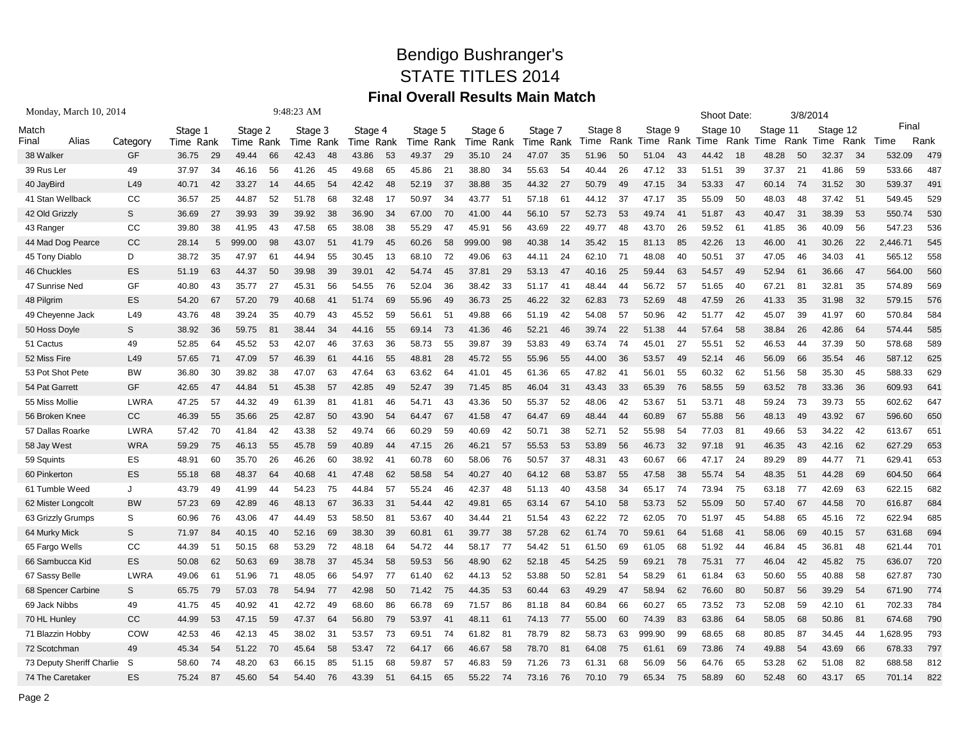## Bendigo Bushranger's STATE TITLES 2014 **Final Overall Results Main Match**

| Monday, March 10, 2014    |               |           |     |           |    | 9:48:23 AM |    |           |    |           |                |           |    |           |    |         |      |         |    | Shoot Date: |      |          | 3/8/2014 |          |      |          |      |  |
|---------------------------|---------------|-----------|-----|-----------|----|------------|----|-----------|----|-----------|----------------|-----------|----|-----------|----|---------|------|---------|----|-------------|------|----------|----------|----------|------|----------|------|--|
| Match                     |               | Stage 1   |     | Stage 2   |    | Stage 3    |    | Stage 4   |    | Stage 5   |                | Stage 6   |    | Stage 7   |    | Stage 8 |      | Stage 9 |    | Stage 10    |      | Stage 11 |          | Stage 12 |      | Final    |      |  |
| Alias<br>Final            | Category      | Time Rank |     | Time Rank |    | Time Rank  |    | Time Rank |    | Time Rank |                | Time Rank |    | Time Rank |    | Time    | Rank | Time    |    | Rank Time   | Rank | Time     | Rank     | Time     | Rank | Time     | Rank |  |
| 38 Walker                 | <b>GF</b>     | 36.75     | -29 | 49.44     | 66 | 42.43      | 48 | 43.86     | 53 | 49.37     | 29             | 35.10     | 24 | 47.07     | 35 | 51.96   | 50   | 51.04   | 43 | 44.42       | 18   | 48.28    | 50       | 32.37    | -34  | 532.09   | 479  |  |
| 39 Rus Ler                | 49            | 37.97     | 34  | 46.16     | 56 | 41.26      | 45 | 49.68     | 65 | 45.86     | 2 <sup>1</sup> | 38.80     | 34 | 55.63     | 54 | 40.44   | 26   | 47.12   | 33 | 51.51       | 39   | 37.37    | 21       | 41.86    | 59   | 533.66   | 487  |  |
| 40 JayBird                | L49           | 40.71     | 42  | 33.27     | 14 | 44.65      | 54 | 42.42     | 48 | 52.19     | 37             | 38.88     | 35 | 44.32     | 27 | 50.79   | 49   | 47.15   | 34 | 53.33       | 47   | 60.14    | 74       | 31.52    | 30   | 539.37   | 491  |  |
| 41 Stan Wellback          | СC            | 36.57     | 25  | 44.87     | 52 | 51.78      | 68 | 32.48     | 17 | 50.97     | 34             | 43.77     | 51 | 57.18     | 61 | 44.12   | 37   | 47.17   | 35 | 55.09       | 50   | 48.03    | 48       | 37.42    | 51   | 549.45   | 529  |  |
| 42 Old Grizzly            | S             | 36.69     | 27  | 39.93     | 39 | 39.92      | 38 | 36.90     | 34 | 67.00     | 70             | 41.00     | 44 | 56.10     | 57 | 52.73   | 53   | 49.74   | 41 | 51.87       | 43   | 40.47    | 31       | 38.39    | 53   | 550.74   | 530  |  |
| 43 Ranger                 | CC            | 39.80     | 38  | 41.95     | 43 | 47.58      | 65 | 38.08     | 38 | 55.29     | 47             | 45.91     | 56 | 43.69     | 22 | 49.77   | 48   | 43.70   | 26 | 59.52       | 61   | 41.85    | 36       | 40.09    | 56   | 547.23   | 536  |  |
| 44 Mad Dog Pearce         | <sub>CC</sub> | 28.14     | 5   | 999.00    | 98 | 43.07      | 51 | 41.79     | 45 | 60.26     | 58             | 999.00    | 98 | 40.38     | 14 | 35.42   | 15   | 81.13   | 85 | 42.26       | 13   | 46.00    | 41       | 30.26    | 22   | 2,446.71 | 545  |  |
| 45 Tony Diablo            | D             | 38.72     | 35  | 47.97     | 61 | 44.94      | 55 | 30.45     | 13 | 68.10     | 72             | 49.06     | 63 | 44.11     | 24 | 62.10   | 71   | 48.08   | 40 | 50.51       | 37   | 47.05    | 46       | 34.03    | 41   | 565.12   | 558  |  |
| 46 Chuckles               | ES            | 51.19     | 63  | 44.37     | 50 | 39.98      | 39 | 39.01     | 42 | 54.74     | 45             | 37.81     | 29 | 53.13     | 47 | 40.16   | 25   | 59.44   | 63 | 54.57       | 49   | 52.94    | 61       | 36.66    | 47   | 564.00   | 560  |  |
| 47 Sunrise Ned            | GF            | 40.80     | 43  | 35.77     | 27 | 45.31      | 56 | 54.55     | 76 | 52.04     | 36             | 38.42     | 33 | 51.17     | 41 | 48.44   | 44   | 56.72   | 57 | 51.65       | 40   | 67.21    | 81       | 32.81    | 35   | 574.89   | 569  |  |
| 48 Pilgrim                | ES            | 54.20     | 67  | 57.20     | 79 | 40.68      | 41 | 51.74     | 69 | 55.96     | 49             | 36.73     | 25 | 46.22     | 32 | 62.83   | 73   | 52.69   | 48 | 47.59       | 26   | 41.33    | 35       | 31.98    | 32   | 579.15   | 576  |  |
| 49 Cheyenne Jack          | L49           | 43.76     | 48  | 39.24     | 35 | 40.79      | 43 | 45.52     | 59 | 56.61     | 51             | 49.88     | 66 | 51.19     | 42 | 54.08   | 57   | 50.96   | 42 | 51.77       | 42   | 45.07    | 39       | 41.97    | 60   | 570.84   | 584  |  |
| 50 Hoss Doyle             | S.            | 38.92     | 36  | 59.75     | 81 | 38.44      | 34 | 44.16     | 55 | 69.14     | 73             | 41.36     | 46 | 52.21     | 46 | 39.74   | 22   | 51.38   | 44 | 57.64       | 58   | 38.84    | 26       | 42.86    | 64   | 574.44   | 585  |  |
| 51 Cactus                 | 49            | 52.85     | 64  | 45.52     | 53 | 42.07      | 46 | 37.63     | 36 | 58.73     | 55             | 39.87     | 39 | 53.83     | 49 | 63.74   | 74   | 45.01   | 27 | 55.51       | 52   | 46.53    | 44       | 37.39    | 50   | 578.68   | 589  |  |
| 52 Miss Fire              | L49           | 57.65     | 71  | 47.09     | 57 | 46.39      | 61 | 44.16     | 55 | 48.81     | 28             | 45.72     | 55 | 55.96     | 55 | 44.00   | 36   | 53.57   | 49 | 52.14       | 46   | 56.09    | 66       | 35.54    | 46   | 587.12   | 625  |  |
| 53 Pot Shot Pete          | <b>BW</b>     | 36.80     | 30  | 39.82     | 38 | 47.07      | 63 | 47.64     | 63 | 63.62     | 64             | 41.01     | 45 | 61.36     | 65 | 47.82   | 41   | 56.01   | 55 | 60.32       | 62   | 51.56    | 58       | 35.30    | 45   | 588.33   | 629  |  |
| 54 Pat Garrett            | GF            | 42.65     | 47  | 44.84     | 51 | 45.38      | 57 | 42.85     | 49 | 52.47     | 39             | 71.45     | 85 | 46.04     | 31 | 43.43   | 33   | 65.39   | 76 | 58.55       | 59   | 63.52    | 78       | 33.36    | 36   | 609.93   | 641  |  |
| 55 Miss Mollie            | <b>LWRA</b>   | 47.25     | 57  | 44.32     | 49 | 61.39      | 81 | 41.81     | 46 | 54.71     | 43             | 43.36     | 50 | 55.37     | 52 | 48.06   | 42   | 53.67   | 51 | 53.71       | 48   | 59.24    | 73       | 39.73    | 55   | 602.62   | 647  |  |
| 56 Broken Knee            | cc            | 46.39     | 55  | 35.66     | 25 | 42.87      | 50 | 43.90     | 54 | 64.47     | 67             | 41.58     | 47 | 64.47     | 69 | 48.44   | 44   | 60.89   | 67 | 55.88       | 56   | 48.13    | 49       | 43.92    | 67   | 596.60   | 650  |  |
| 57 Dallas Roarke          | <b>LWRA</b>   | 57.42     | 70  | 41.84     | 42 | 43.38      | 52 | 49.74     | 66 | 60.29     | 59             | 40.69     | 42 | 50.71     | 38 | 52.71   | 52   | 55.98   | 54 | 77.03       | 81   | 49.66    | 53       | 34.22    | 42   | 613.67   | 651  |  |
| 58 Jay West               | <b>WRA</b>    | 59.29     | 75  | 46.13     | 55 | 45.78      | 59 | 40.89     | 44 | 47.15     | 26             | 46.21     | 57 | 55.53     | 53 | 53.89   | 56   | 46.73   | 32 | 97.18       | -91  | 46.35    | 43       | 42.16    | 62   | 627.29   | 653  |  |
| 59 Squints                | ES            | 48.91     | 60  | 35.70     | 26 | 46.26      | 60 | 38.92     | 41 | 60.78     | 60             | 58.06     | 76 | 50.57     | 37 | 48.31   | 43   | 60.67   | 66 | 47.17       | 24   | 89.29    | 89       | 44.77    | 71   | 629.41   | 653  |  |
| 60 Pinkerton              | ES            | 55.18     | 68  | 48.37     | 64 | 40.68      | 41 | 47.48     | 62 | 58.58     | 54             | 40.27     | 40 | 64.12     | 68 | 53.87   | 55   | 47.58   | 38 | 55.74       | 54   | 48.35    | 51       | 44.28    | 69   | 604.50   | 664  |  |
| 61 Tumble Weed            | J             | 43.79     | 49  | 41.99     | 44 | 54.23      | 75 | 44.84     | 57 | 55.24     | 46             | 42.37     | 48 | 51.13     | 40 | 43.58   | 34   | 65.17   | 74 | 73.94       | 75   | 63.18    | 77       | 42.69    | 63   | 622.15   | 682  |  |
| 62 Mister Longcolt        | <b>BW</b>     | 57.23     | 69  | 42.89     | 46 | 48.13      | 67 | 36.33     | 31 | 54.44     | 42             | 49.81     | 65 | 63.14     | 67 | 54.10   | 58   | 53.73   | 52 | 55.09       | 50   | 57.40    | 67       | 44.58    | 70   | 616.87   | 684  |  |
| 63 Grizzly Grumps         | S             | 60.96     | 76  | 43.06     | 47 | 44.49      | 53 | 58.50     | 81 | 53.67     | 40             | 34.44     | 21 | 51.54     | 43 | 62.22   | 72   | 62.05   | 70 | 51.97       | 45   | 54.88    | 65       | 45.16    | 72   | 622.94   | 685  |  |
| 64 Murky Mick             | S             | 71.97     | 84  | 40.15     | 40 | 52.16      | 69 | 38.30     | 39 | 60.81     | 61             | 39.77     | 38 | 57.28     | 62 | 61.74   | 70   | 59.61   | 64 | 51.68       | 41   | 58.06    | 69       | 40.15    | 57   | 631.68   | 694  |  |
| 65 Fargo Wells            | CC            | 44.39     | 51  | 50.15     | 68 | 53.29      | 72 | 48.18     | 64 | 54.72     | 44             | 58.17     | 77 | 54.42     | 51 | 61.50   | 69   | 61.05   | 68 | 51.92       | 44   | 46.84    | 45       | 36.81    | 48   | 621.44   | 701  |  |
| 66 Sambucca Kid           | ES            | 50.08     | 62  | 50.63     | 69 | 38.78      | 37 | 45.34     | 58 | 59.53     | 56             | 48.90     | 62 | 52.18     | 45 | 54.25   | 59   | 69.21   | 78 | 75.31       | 77   | 46.04    | 42       | 45.82    | 75   | 636.07   | 720  |  |
| 67 Sassy Belle            | LWRA          | 49.06     | 61  | 51.96     | 71 | 48.05      | 66 | 54.97     | 77 | 61.40     | 62             | 44.13     | 52 | 53.88     | 50 | 52.81   | 54   | 58.29   | 61 | 61.84       | 63   | 50.60    | 55       | 40.88    | 58   | 627.87   | 730  |  |
| 68 Spencer Carbine        | S             | 65.75     | 79  | 57.03     | 78 | 54.94      | 77 | 42.98     | 50 | 71.42     | 75             | 44.35     | 53 | 60.44     | 63 | 49.29   | 47   | 58.94   | 62 | 76.60       | 80   | 50.87    | 56       | 39.29    | 54   | 671.90   | 774  |  |
| 69 Jack Nibbs             | 49            | 41.75     | 45  | 40.92     | 41 | 42.72      | 49 | 68.60     | 86 | 66.78     | 69             | 71.57     | 86 | 81.18     | 84 | 60.84   | 66   | 60.27   | 65 | 73.52       | 73   | 52.08    | 59       | 42.10    | 61   | 702.33   | 784  |  |
| 70 HL Hunley              | cc            | 44.99     | 53  | 47.15     | 59 | 47.37      | 64 | 56.80     | 79 | 53.97     | 41             | 48.11     | 61 | 74.13     | 77 | 55.00   | 60   | 74.39   | 83 | 63.86       | 64   | 58.05    | 68       | 50.86    | 81   | 674.68   | 790  |  |
| 71 Blazzin Hobby          | COW           | 42.53     | 46  | 42.13     | 45 | 38.02      | 31 | 53.57     | 73 | 69.51     | -74            | 61.82     | 81 | 78.79     | 82 | 58.73   | 63   | 999.90  | 99 | 68.65       | 68   | 80.85    | 87       | 34.45    | 44   | 1,628.95 | 793  |  |
| 72 Scotchman              | 49            | 45.34     | 54  | 51.22     | 70 | 45.64      | 58 | 53.47     | 72 | 64.17     | 66             | 46.67     | 58 | 78.70     | 81 | 64.08   | 75   | 61.61   | 69 | 73.86       | 74   | 49.88    | 54       | 43.69    | 66   | 678.33   | 797  |  |
| 73 Deputy Sheriff Charlie | S             | 58.60     | 74  | 48.20     | 63 | 66.15      | 85 | 51.15     | 68 | 59.87     | 57             | 46.83     | 59 | 71.26     | 73 | 61.31   | 68   | 56.09   | 56 | 64.76       | 65   | 53.28    | 62       | 51.08    | 82   | 688.58   | 812  |  |
| 74 The Caretaker          | ES            | 75.24     | 87  | 45.60     | 54 | 54.40      | 76 | 43.39     | 51 | 64.15     | 65             | 55.22     | 74 | 73.16     | 76 | 70.10   | 79   | 65.34   | 75 | 58.89       | 60   | 52.48    | 60       | 43.17    | 65   | 701.14   | 822  |  |